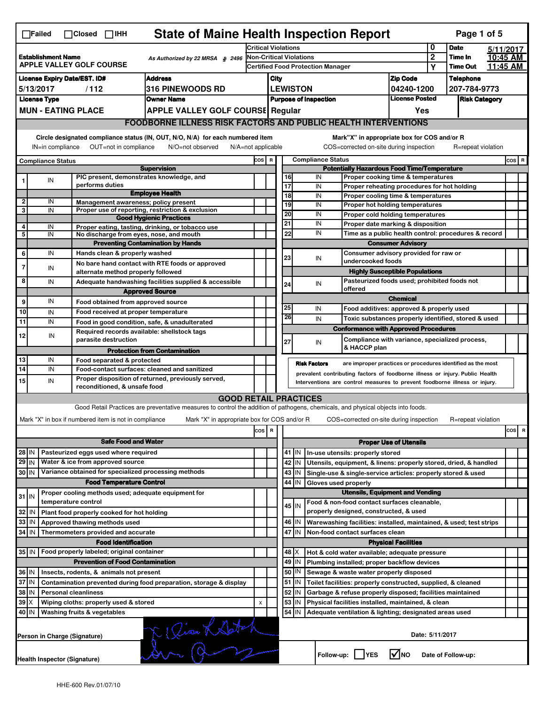|                                                                                                 | <b>State of Maine Health Inspection Report</b><br>Page 1 of 5<br>$\Box$ Failed<br>$\Box$ Closed $\Box$ IHH                                                                |                           |                                                                     |                                                                                                                                   |                                                                        |                                                                                |                                                                            |                                             |                     |                                                                                                       |                                                                     |           |                    |  |         |
|-------------------------------------------------------------------------------------------------|---------------------------------------------------------------------------------------------------------------------------------------------------------------------------|---------------------------|---------------------------------------------------------------------|-----------------------------------------------------------------------------------------------------------------------------------|------------------------------------------------------------------------|--------------------------------------------------------------------------------|----------------------------------------------------------------------------|---------------------------------------------|---------------------|-------------------------------------------------------------------------------------------------------|---------------------------------------------------------------------|-----------|--------------------|--|---------|
|                                                                                                 |                                                                                                                                                                           |                           |                                                                     | <b>Critical Violations</b>                                                                                                        |                                                                        |                                                                                |                                                                            |                                             | 0                   | <b>Date</b>                                                                                           |                                                                     | 5/11/2017 |                    |  |         |
| <b>Establishment Name</b><br>As Authorized by 22 MRSA § 2496<br><b>APPLE VALLEY GOLF COURSE</b> |                                                                                                                                                                           |                           | <b>Non-Critical Violations</b>                                      |                                                                                                                                   |                                                                        |                                                                                |                                                                            |                                             | $\overline{2}$      | Time In                                                                                               |                                                                     | 10:45 AM  |                    |  |         |
|                                                                                                 |                                                                                                                                                                           |                           |                                                                     | <b>Certified Food Protection Manager</b>                                                                                          |                                                                        |                                                                                |                                                                            | Υ                                           | <b>Time Out</b>     |                                                                                                       | 11:45 AM                                                            |           |                    |  |         |
| <b>License Expiry Date/EST. ID#</b><br><b>Address</b>                                           |                                                                                                                                                                           |                           |                                                                     |                                                                                                                                   | <b>Zip Code</b><br>City                                                |                                                                                |                                                                            |                                             | <b>Telephone</b>    |                                                                                                       |                                                                     |           |                    |  |         |
| 316 PINEWOODS RD<br>5/13/2017<br>/112                                                           |                                                                                                                                                                           |                           |                                                                     |                                                                                                                                   |                                                                        | <b>LEWISTON</b><br>207-784-9773<br>04240-1200                                  |                                                                            |                                             |                     |                                                                                                       |                                                                     |           |                    |  |         |
|                                                                                                 | <b>License Type</b>                                                                                                                                                       |                           |                                                                     | <b>Owner Name</b>                                                                                                                 |                                                                        | <b>License Posted</b><br><b>Purpose of Inspection</b><br><b>Risk Category</b>  |                                                                            |                                             |                     |                                                                                                       |                                                                     |           |                    |  |         |
|                                                                                                 |                                                                                                                                                                           | <b>MUN - EATING PLACE</b> |                                                                     | <b>APPLE VALLEY GOLF COURSE Regular</b>                                                                                           |                                                                        |                                                                                |                                                                            |                                             |                     |                                                                                                       | Yes                                                                 |           |                    |  |         |
|                                                                                                 |                                                                                                                                                                           |                           |                                                                     | <b>FOODBORNE ILLNESS RISK FACTORS AND PUBLIC HEALTH INTERVENTIONS</b>                                                             |                                                                        |                                                                                |                                                                            |                                             |                     |                                                                                                       |                                                                     |           |                    |  |         |
|                                                                                                 | Circle designated compliance status (IN, OUT, N/O, N/A) for each numbered item<br>OUT=not in compliance<br>IN=in compliance<br>N/O=not observed<br>$N/A = not$ applicable |                           |                                                                     |                                                                                                                                   |                                                                        |                                                                                |                                                                            |                                             |                     | Mark"X" in appropriate box for COS and/or R<br>COS=corrected on-site during inspection                |                                                                     |           | R=repeat violation |  |         |
|                                                                                                 |                                                                                                                                                                           |                           |                                                                     |                                                                                                                                   | COS R                                                                  |                                                                                |                                                                            |                                             |                     |                                                                                                       |                                                                     |           |                    |  | $cos$ R |
| <b>Compliance Status</b><br><b>Supervision</b>                                                  |                                                                                                                                                                           |                           |                                                                     |                                                                                                                                   |                                                                        | <b>Compliance Status</b><br><b>Potentially Hazardous Food Time/Temperature</b> |                                                                            |                                             |                     |                                                                                                       |                                                                     |           |                    |  |         |
|                                                                                                 | IN                                                                                                                                                                        |                           |                                                                     | PIC present, demonstrates knowledge, and                                                                                          |                                                                        |                                                                                |                                                                            | 16                                          | IN                  |                                                                                                       | Proper cooking time & temperatures                                  |           |                    |  |         |
|                                                                                                 |                                                                                                                                                                           |                           | performs duties                                                     | <b>Employee Health</b>                                                                                                            |                                                                        |                                                                                | 17                                                                         |                                             | IN                  |                                                                                                       | Proper reheating procedures for hot holding                         |           |                    |  |         |
| 2                                                                                               | IN                                                                                                                                                                        |                           |                                                                     | Management awareness; policy present                                                                                              |                                                                        |                                                                                |                                                                            | 18<br>19                                    | IN<br>IN            |                                                                                                       | Proper cooling time & temperatures                                  |           |                    |  |         |
| 3                                                                                               | IN                                                                                                                                                                        |                           |                                                                     | Proper use of reporting, restriction & exclusion                                                                                  |                                                                        |                                                                                | 20                                                                         |                                             | IN                  |                                                                                                       | Proper hot holding temperatures<br>Proper cold holding temperatures |           |                    |  |         |
|                                                                                                 |                                                                                                                                                                           |                           |                                                                     | <b>Good Hygienic Practices</b>                                                                                                    |                                                                        |                                                                                | 21                                                                         |                                             | IN                  |                                                                                                       | Proper date marking & disposition                                   |           |                    |  |         |
| 4<br>5                                                                                          | IN<br>IN                                                                                                                                                                  |                           |                                                                     | Proper eating, tasting, drinking, or tobacco use<br>No discharge from eyes, nose, and mouth                                       |                                                                        |                                                                                |                                                                            | 22                                          | IN                  |                                                                                                       | Time as a public health control: procedures & record                |           |                    |  |         |
|                                                                                                 |                                                                                                                                                                           |                           |                                                                     | <b>Preventing Contamination by Hands</b>                                                                                          |                                                                        |                                                                                |                                                                            |                                             |                     |                                                                                                       | <b>Consumer Advisory</b>                                            |           |                    |  |         |
| 6                                                                                               | IN                                                                                                                                                                        |                           | Hands clean & properly washed                                       |                                                                                                                                   |                                                                        |                                                                                | 23                                                                         |                                             | IN                  |                                                                                                       | Consumer advisory provided for raw or                               |           |                    |  |         |
| 7                                                                                               | IN                                                                                                                                                                        |                           |                                                                     | No bare hand contact with RTE foods or approved                                                                                   |                                                                        |                                                                                |                                                                            |                                             |                     | undercooked foods                                                                                     |                                                                     |           |                    |  |         |
|                                                                                                 |                                                                                                                                                                           |                           |                                                                     | alternate method properly followed                                                                                                |                                                                        |                                                                                |                                                                            |                                             |                     |                                                                                                       | <b>Highly Susceptible Populations</b>                               |           |                    |  |         |
| 8                                                                                               | IN                                                                                                                                                                        |                           |                                                                     | Adequate handwashing facilities supplied & accessible                                                                             |                                                                        |                                                                                | Pasteurized foods used; prohibited foods not<br>24<br>IN<br>offered        |                                             |                     |                                                                                                       |                                                                     |           |                    |  |         |
| 9                                                                                               | IN                                                                                                                                                                        |                           |                                                                     | <b>Approved Source</b>                                                                                                            |                                                                        |                                                                                |                                                                            |                                             |                     |                                                                                                       | <b>Chemical</b>                                                     |           |                    |  |         |
| 10                                                                                              | IN                                                                                                                                                                        |                           |                                                                     | Food obtained from approved source<br>Food received at proper temperature                                                         |                                                                        |                                                                                | 25                                                                         |                                             | IN                  |                                                                                                       | Food additives: approved & properly used                            |           |                    |  |         |
| 11                                                                                              | IN                                                                                                                                                                        |                           |                                                                     | Food in good condition, safe, & unadulterated                                                                                     |                                                                        |                                                                                |                                                                            | 26                                          | IN                  |                                                                                                       | Toxic substances properly identified, stored & used                 |           |                    |  |         |
|                                                                                                 |                                                                                                                                                                           |                           |                                                                     | Required records available: shellstock tags                                                                                       |                                                                        |                                                                                |                                                                            |                                             |                     | <b>Conformance with Approved Procedures</b>                                                           |                                                                     |           |                    |  |         |
| 12                                                                                              | IN                                                                                                                                                                        |                           | parasite destruction                                                |                                                                                                                                   |                                                                        |                                                                                | 27                                                                         |                                             | IN                  |                                                                                                       | Compliance with variance, specialized process,                      |           |                    |  |         |
|                                                                                                 |                                                                                                                                                                           |                           |                                                                     | <b>Protection from Contamination</b>                                                                                              |                                                                        |                                                                                |                                                                            |                                             |                     | & HACCP plan                                                                                          |                                                                     |           |                    |  |         |
| 13                                                                                              | IN                                                                                                                                                                        |                           | Food separated & protected                                          |                                                                                                                                   |                                                                        |                                                                                |                                                                            |                                             | <b>Risk Factors</b> |                                                                                                       | are improper practices or procedures identified as the most         |           |                    |  |         |
| $\overline{14}$                                                                                 | IN                                                                                                                                                                        |                           |                                                                     | Food-contact surfaces: cleaned and sanitized                                                                                      |                                                                        |                                                                                |                                                                            |                                             |                     | prevalent contributing factors of foodborne illness or injury. Public Health                          |                                                                     |           |                    |  |         |
| Proper disposition of returned, previously served,<br>15<br>IN<br>reconditioned, & unsafe food  |                                                                                                                                                                           |                           |                                                                     |                                                                                                                                   |                                                                        |                                                                                | Interventions are control measures to prevent foodborne illness or injury. |                                             |                     |                                                                                                       |                                                                     |           |                    |  |         |
|                                                                                                 |                                                                                                                                                                           |                           |                                                                     | <b>GOOD RETAIL PRACTICES</b>                                                                                                      |                                                                        |                                                                                |                                                                            |                                             |                     |                                                                                                       |                                                                     |           |                    |  |         |
|                                                                                                 |                                                                                                                                                                           |                           |                                                                     | Good Retail Practices are preventative measures to control the addition of pathogens, chemicals, and physical objects into foods. |                                                                        |                                                                                |                                                                            |                                             |                     |                                                                                                       |                                                                     |           |                    |  |         |
|                                                                                                 |                                                                                                                                                                           |                           | Mark "X" in box if numbered item is not in compliance               | Mark "X" in appropriate box for COS and/or R                                                                                      |                                                                        |                                                                                |                                                                            |                                             |                     | COS=corrected on-site during inspection                                                               |                                                                     |           | R=repeat violation |  |         |
|                                                                                                 |                                                                                                                                                                           |                           |                                                                     |                                                                                                                                   | cos                                                                    | R                                                                              |                                                                            |                                             |                     |                                                                                                       |                                                                     |           |                    |  | cos R   |
|                                                                                                 |                                                                                                                                                                           |                           | <b>Safe Food and Water</b>                                          |                                                                                                                                   |                                                                        |                                                                                | <b>Proper Use of Utensils</b>                                              |                                             |                     |                                                                                                       |                                                                     |           |                    |  |         |
| 28 IN                                                                                           |                                                                                                                                                                           |                           | Pasteurized eggs used where required                                |                                                                                                                                   |                                                                        |                                                                                |                                                                            | $41$ IN                                     |                     | In-use utensils: properly stored                                                                      |                                                                     |           |                    |  |         |
| 29 IN                                                                                           |                                                                                                                                                                           |                           | Water & ice from approved source                                    |                                                                                                                                   |                                                                        |                                                                                |                                                                            | 42<br>IN                                    |                     | Utensils, equipment, & linens: properly stored, dried, & handled                                      |                                                                     |           |                    |  |         |
| 30 IN                                                                                           |                                                                                                                                                                           |                           |                                                                     | Variance obtained for specialized processing methods                                                                              |                                                                        |                                                                                |                                                                            | 43<br>IN                                    |                     | Single-use & single-service articles: properly stored & used                                          |                                                                     |           |                    |  |         |
|                                                                                                 |                                                                                                                                                                           |                           | <b>Food Temperature Control</b>                                     |                                                                                                                                   |                                                                        |                                                                                |                                                                            | 44<br>IN                                    |                     | Gloves used properly                                                                                  |                                                                     |           |                    |  |         |
| $31$ IN                                                                                         |                                                                                                                                                                           |                           |                                                                     | Proper cooling methods used; adequate equipment for                                                                               |                                                                        |                                                                                |                                                                            |                                             |                     |                                                                                                       | <b>Utensils, Equipment and Vending</b>                              |           |                    |  |         |
|                                                                                                 |                                                                                                                                                                           | temperature control       |                                                                     |                                                                                                                                   |                                                                        |                                                                                |                                                                            | 45 I IN                                     |                     | Food & non-food contact surfaces cleanable,<br>properly designed, constructed, & used                 |                                                                     |           |                    |  |         |
| 32<br>33                                                                                        | IN<br>IN                                                                                                                                                                  |                           | Plant food properly cooked for hot holding                          |                                                                                                                                   |                                                                        |                                                                                |                                                                            | 46                                          |                     |                                                                                                       |                                                                     |           |                    |  |         |
| 34                                                                                              | l IN                                                                                                                                                                      |                           | Approved thawing methods used<br>Thermometers provided and accurate |                                                                                                                                   |                                                                        |                                                                                |                                                                            | IN<br>47 IN                                 |                     | Warewashing facilities: installed, maintained, & used; test strips<br>Non-food contact surfaces clean |                                                                     |           |                    |  |         |
|                                                                                                 |                                                                                                                                                                           |                           | <b>Food Identification</b>                                          |                                                                                                                                   |                                                                        |                                                                                |                                                                            |                                             |                     |                                                                                                       | <b>Physical Facilities</b>                                          |           |                    |  |         |
| 35 IN                                                                                           |                                                                                                                                                                           |                           | Food properly labeled; original container                           |                                                                                                                                   |                                                                        |                                                                                |                                                                            | 48   X                                      |                     | Hot & cold water available; adequate pressure                                                         |                                                                     |           |                    |  |         |
| <b>Prevention of Food Contamination</b>                                                         |                                                                                                                                                                           |                           |                                                                     |                                                                                                                                   |                                                                        | 49<br>IN                                                                       |                                                                            | Plumbing installed; proper backflow devices |                     |                                                                                                       |                                                                     |           |                    |  |         |
| 36 IN<br>Insects, rodents, & animals not present                                                |                                                                                                                                                                           |                           |                                                                     |                                                                                                                                   | 50<br>IN<br>Sewage & waste water properly disposed                     |                                                                                |                                                                            |                                             |                     |                                                                                                       |                                                                     |           |                    |  |         |
| 37 IN<br>Contamination prevented during food preparation, storage & display                     |                                                                                                                                                                           |                           |                                                                     |                                                                                                                                   | $51$ M<br>Toilet facilities: properly constructed, supplied, & cleaned |                                                                                |                                                                            |                                             |                     |                                                                                                       |                                                                     |           |                    |  |         |
| 38<br>ΙN<br><b>Personal cleanliness</b>                                                         |                                                                                                                                                                           |                           |                                                                     |                                                                                                                                   | 52<br>IN<br>Garbage & refuse properly disposed; facilities maintained  |                                                                                |                                                                            |                                             |                     |                                                                                                       |                                                                     |           |                    |  |         |
| $39$ $\times$<br>Wiping cloths: properly used & stored                                          |                                                                                                                                                                           |                           | X                                                                   |                                                                                                                                   | 53<br>IN<br>Physical facilities installed, maintained, & clean         |                                                                                |                                                                            |                                             |                     |                                                                                                       |                                                                     |           |                    |  |         |
| 40 IN<br>Washing fruits & vegetables                                                            |                                                                                                                                                                           |                           |                                                                     |                                                                                                                                   |                                                                        | 54<br>IN<br>Adequate ventilation & lighting; designated areas used             |                                                                            |                                             |                     |                                                                                                       |                                                                     |           |                    |  |         |
|                                                                                                 | Ti Quan Kalatch<br>Person in Charge (Signature)                                                                                                                           |                           |                                                                     |                                                                                                                                   |                                                                        |                                                                                | Date: 5/11/2017                                                            |                                             |                     |                                                                                                       |                                                                     |           |                    |  |         |
|                                                                                                 | <b>Health Inspector (Signature)</b>                                                                                                                                       |                           |                                                                     |                                                                                                                                   |                                                                        |                                                                                |                                                                            |                                             |                     | Follow-up:     YES                                                                                    | ∣√мо                                                                |           | Date of Follow-up: |  |         |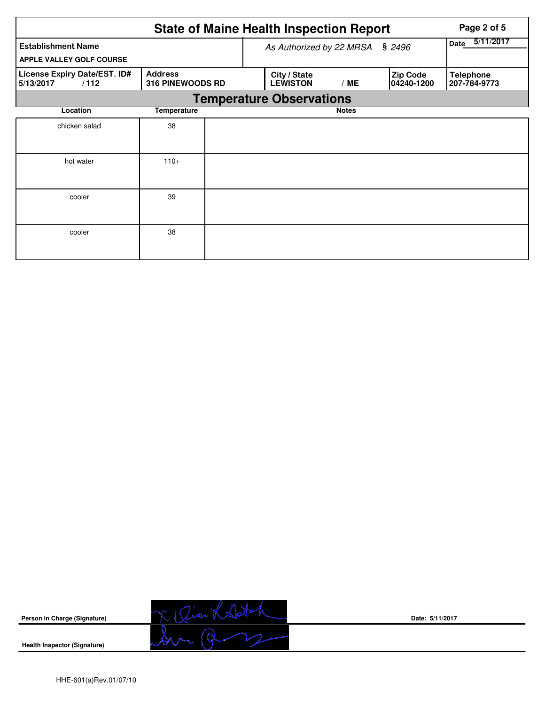|                                                       | Page 2 of 5                               |                                 |              |                               |                                  |
|-------------------------------------------------------|-------------------------------------------|---------------------------------|--------------|-------------------------------|----------------------------------|
| <b>Establishment Name</b><br>APPLE VALLEY GOLF COURSE | As Authorized by 22 MRSA                  | 5/11/2017<br>Date               |              |                               |                                  |
| License Expiry Date/EST. ID#<br>5/13/2017<br>/112     | <b>Address</b><br><b>316 PINEWOODS RD</b> | City / State<br><b>LEWISTON</b> | /ME          | <b>Zip Code</b><br>04240-1200 | <b>Telephone</b><br>207-784-9773 |
|                                                       |                                           | <b>Temperature Observations</b> |              |                               |                                  |
| Location                                              | <b>Temperature</b>                        |                                 | <b>Notes</b> |                               |                                  |
| chicken salad                                         | 38                                        |                                 |              |                               |                                  |
| hot water                                             | $110+$                                    |                                 |              |                               |                                  |
| cooler                                                | 39                                        |                                 |              |                               |                                  |
| cooler                                                | 38                                        |                                 |              |                               |                                  |



**Health Inspector (Signature)** 



**Date: 5/11/2017**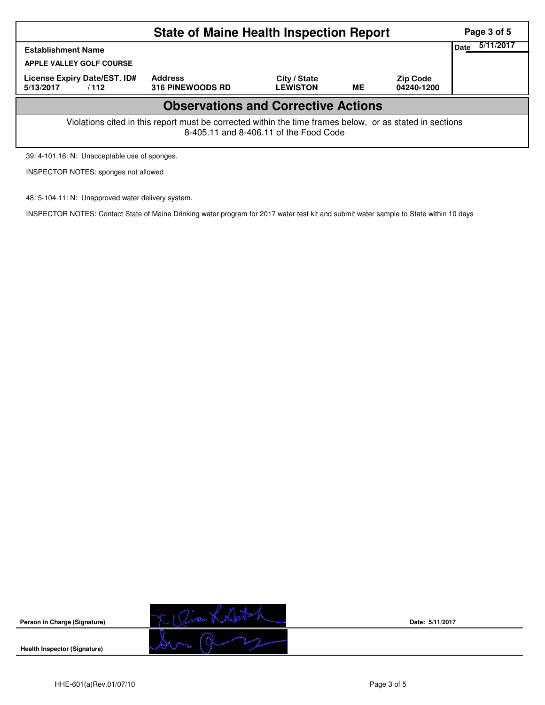|                                                                                                                                                    | Page 3 of 5                               |                                 |    |                               |  |  |  |  |  |  |
|----------------------------------------------------------------------------------------------------------------------------------------------------|-------------------------------------------|---------------------------------|----|-------------------------------|--|--|--|--|--|--|
| <b>Establishment Name</b>                                                                                                                          | 5/11/2017<br>Date                         |                                 |    |                               |  |  |  |  |  |  |
| <b>APPLE VALLEY GOLF COURSE</b>                                                                                                                    |                                           |                                 |    |                               |  |  |  |  |  |  |
| License Expiry Date/EST. ID#<br>5/13/2017<br>/112                                                                                                  | <b>Address</b><br><b>316 PINEWOODS RD</b> | City / State<br><b>LEWISTON</b> | ME | <b>Zip Code</b><br>04240-1200 |  |  |  |  |  |  |
| <b>Observations and Corrective Actions</b>                                                                                                         |                                           |                                 |    |                               |  |  |  |  |  |  |
| Violations cited in this report must be corrected within the time frames below, or as stated in sections<br>8-405.11 and 8-406.11 of the Food Code |                                           |                                 |    |                               |  |  |  |  |  |  |

39: 4-101.16: N: Unacceptable use of sponges.

INSPECTOR NOTES: sponges not allowed

48: 5-104.11: N: Unapproved water delivery system.

INSPECTOR NOTES: Contact State of Maine Drinking water program for 2017 water test kit and submit water sample to State within 10 days



**Date: 5/11/2017**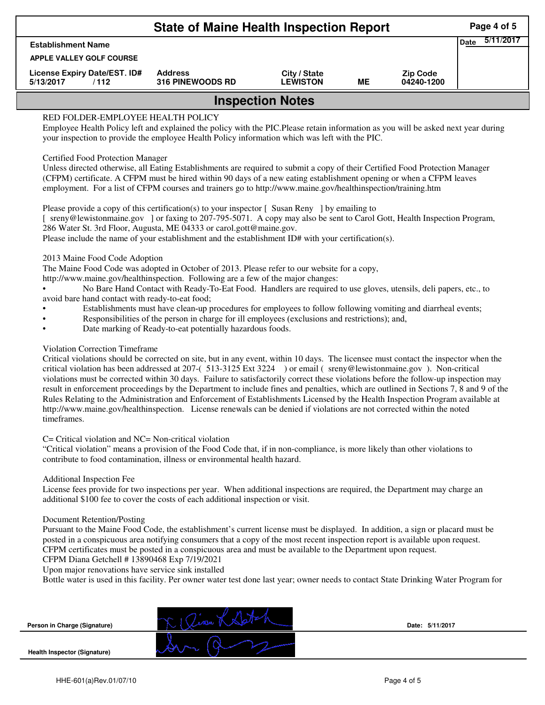| <b>State of Maine Health Inspection Report</b>    |                                           |                                 |    |                               |  |  |  |  |
|---------------------------------------------------|-------------------------------------------|---------------------------------|----|-------------------------------|--|--|--|--|
| <b>Establishment Name</b>                         | 5/11/2017<br><b>Date</b>                  |                                 |    |                               |  |  |  |  |
| APPLE VALLEY GOLF COURSE                          |                                           |                                 |    |                               |  |  |  |  |
| License Expiry Date/EST. ID#<br>5/13/2017<br>/112 | <b>Address</b><br><b>316 PINEWOODS RD</b> | City / State<br><b>LEWISTON</b> | MЕ | <b>Zip Code</b><br>04240-1200 |  |  |  |  |
| <b>Inspection Notes</b>                           |                                           |                                 |    |                               |  |  |  |  |

# RED FOLDER-EMPLOYEE HEALTH POLICY

Employee Health Policy left and explained the policy with the PIC.Please retain information as you will be asked next year during your inspection to provide the employee Health Policy information which was left with the PIC.

### Certified Food Protection Manager

Unless directed otherwise, all Eating Establishments are required to submit a copy of their Certified Food Protection Manager (CFPM) certificate. A CFPM must be hired within 90 days of a new eating establishment opening or when a CFPM leaves employment. For a list of CFPM courses and trainers go to http://www.maine.gov/healthinspection/training.htm

Please provide a copy of this certification(s) to your inspector [Susan Reny ] by emailing to [ sreny@lewistonmaine.gov ] or faxing to 207-795-5071. A copy may also be sent to Carol Gott, Health Inspection Program, 286 Water St. 3rd Floor, Augusta, ME 04333 or carol.gott@maine.gov.

Please include the name of your establishment and the establishment ID# with your certification(s).

2013 Maine Food Code Adoption

The Maine Food Code was adopted in October of 2013. Please refer to our website for a copy,

http://www.maine.gov/healthinspection. Following are a few of the major changes:

• No Bare Hand Contact with Ready-To-Eat Food. Handlers are required to use gloves, utensils, deli papers, etc., to avoid bare hand contact with ready-to-eat food;

- Establishments must have clean-up procedures for employees to follow following vomiting and diarrheal events;
- Responsibilities of the person in charge for ill employees (exclusions and restrictions); and,
- Date marking of Ready-to-eat potentially hazardous foods.

## Violation Correction Timeframe

Critical violations should be corrected on site, but in any event, within 10 days. The licensee must contact the inspector when the critical violation has been addressed at 207-( 513-3125 Ext 3224 ) or email ( sreny@lewistonmaine.gov ). Non-critical violations must be corrected within 30 days. Failure to satisfactorily correct these violations before the follow-up inspection may result in enforcement proceedings by the Department to include fines and penalties, which are outlined in Sections 7, 8 and 9 of the Rules Relating to the Administration and Enforcement of Establishments Licensed by the Health Inspection Program available at http://www.maine.gov/healthinspection. License renewals can be denied if violations are not corrected within the noted timeframes.

### C= Critical violation and NC= Non-critical violation

"Critical violation" means a provision of the Food Code that, if in non-compliance, is more likely than other violations to contribute to food contamination, illness or environmental health hazard.

### Additional Inspection Fee

License fees provide for two inspections per year. When additional inspections are required, the Department may charge an additional \$100 fee to cover the costs of each additional inspection or visit.

### Document Retention/Posting

Pursuant to the Maine Food Code, the establishment's current license must be displayed. In addition, a sign or placard must be posted in a conspicuous area notifying consumers that a copy of the most recent inspection report is available upon request. CFPM certificates must be posted in a conspicuous area and must be available to the Department upon request.

CFPM Diana Getchell # 13890468 Exp 7/19/2021

Upon major renovations have service sink installed

Bottle water is used in this facility. Per owner water test done last year; owner needs to contact State Drinking Water Program for